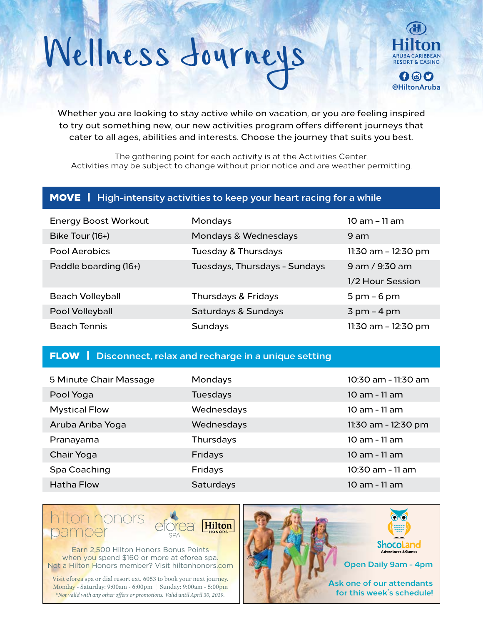# Wellness Journeys Hilton



Whether you are looking to stay active while on vacation, or you are feeling inspired to try out something new, our new activities program offers different journeys that cater to all ages, abilities and interests. Choose the journey that suits you best.

The gathering point for each activity is at the Activities Center. Activities may be subject to change without prior notice and are weather permitting.

### MOVE | **High-intensity activities to keep your heart racing for a while**

| <b>Energy Boost Workout</b> | <b>Mondays</b>                | 10 am - 11 am                 |
|-----------------------------|-------------------------------|-------------------------------|
| Bike Tour (16+)             | Mondays & Wednesdays          | 9 am                          |
| Pool Aerobics               | Tuesday & Thursdays           | 11:30 am - 12:30 pm           |
| Paddle boarding (16+)       | Tuesdays, Thursdays - Sundays | 9 am / 9:30 am                |
|                             |                               | 1/2 Hour Session              |
| <b>Beach Volleyball</b>     | Thursdays & Fridays           | $5 \text{ pm} - 6 \text{ pm}$ |
| Pool Volleyball             | Saturdays & Sundays           | $3 \text{ pm}$ – 4 pm         |
| <b>Beach Tennis</b>         | Sundays                       | $11:30$ am $-12:30$ pm        |

#### FLOW | **Disconnect, relax and recharge in a unique setting**

| 5 Minute Chair Massage | Mondays          | 10:30 am - 11:30 am |
|------------------------|------------------|---------------------|
| Pool Yoga              | Tuesdays         | 10 am - 11 am       |
| <b>Mystical Flow</b>   | Wednesdays       | 10 am - 11 am       |
| Aruba Ariba Yoga       | Wednesdays       | 11:30 am - 12:30 pm |
| Pranayama              | Thursdays        | 10 am - 11 am       |
| Chair Yoga             | Fridays          | 10 am - 11 am       |
| Spa Coaching           | Fridays          | 10:30 am - 11 am    |
| Hatha Flow             | <b>Saturdays</b> | 10 am - 11 am       |



Earn 2,500 Hilton Honors Bonus Points when you spend \$160 or more at eforea spa. Not a Hilton Honors member? Visit hiltonhonors.com

Visit eforea spa or dial resort ext. 6053 to book your next journey. Monday - Saturday: 9:00am - 6:00pm | Sunday: 9:00am - 5:00pm *\*Not valid with any other offers or promotions. Valid until April 30, 2019.*